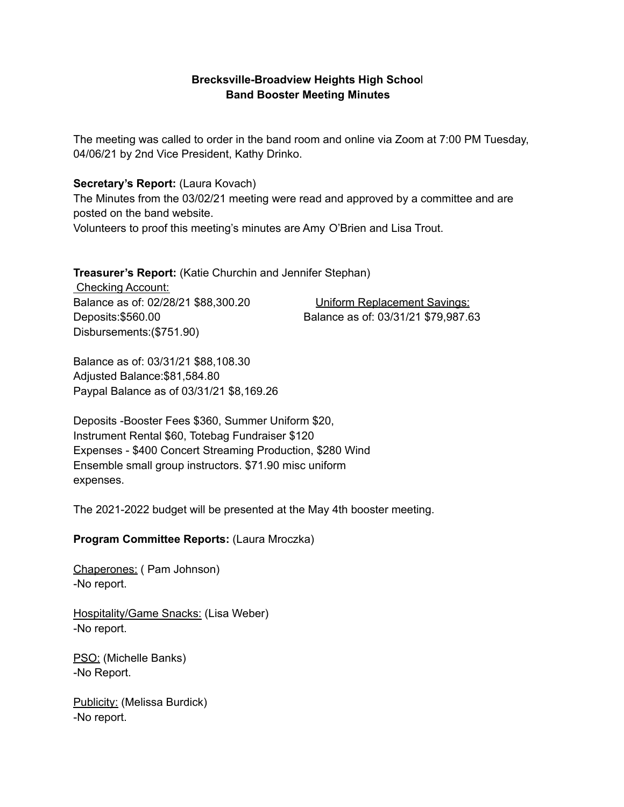# **Brecksville-Broadview Heights High Schoo**l **Band Booster Meeting Minutes**

The meeting was called to order in the band room and online via Zoom at 7:00 PM Tuesday, 04/06/21 by 2nd Vice President, Kathy Drinko.

## **Secretary's Report:** (Laura Kovach)

The Minutes from the 03/02/21 meeting were read and approved by a committee and are posted on the band website.

Volunteers to proof this meeting's minutes are Amy O'Brien and Lisa Trout.

**Treasurer's Report:** (Katie Churchin and Jennifer Stephan)

Checking Account: Balance as of: 02/28/21 \$88,300.20 Uniform Replacement Savings: Deposits:\$560.00 Balance as of: 03/31/21 \$79,987.63 Disbursements:(\$751.90)

Balance as of: 03/31/21 \$88,108.30 Adjusted Balance:\$81,584.80 Paypal Balance as of 03/31/21 \$8,169.26

Deposits -Booster Fees \$360, Summer Uniform \$20, Instrument Rental \$60, Totebag Fundraiser \$120 Expenses - \$400 Concert Streaming Production, \$280 Wind Ensemble small group instructors. \$71.90 misc uniform expenses.

The 2021-2022 budget will be presented at the May 4th booster meeting.

### **Program Committee Reports:** (Laura Mroczka)

Chaperones: ( Pam Johnson) -No report.

Hospitality/Game Snacks: (Lisa Weber) -No report.

PSO: (Michelle Banks) -No Report.

Publicity: (Melissa Burdick) -No report.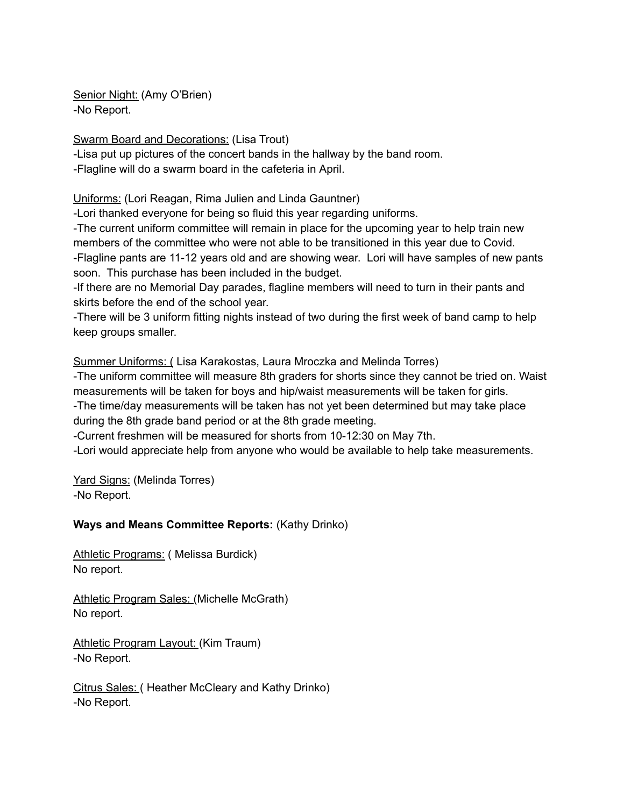Senior Night: (Amy O'Brien) -No Report.

# Swarm Board and Decorations: (Lisa Trout)

-Lisa put up pictures of the concert bands in the hallway by the band room. -Flagline will do a swarm board in the cafeteria in April.

Uniforms: (Lori Reagan, Rima Julien and Linda Gauntner)

-Lori thanked everyone for being so fluid this year regarding uniforms.

-The current uniform committee will remain in place for the upcoming year to help train new members of the committee who were not able to be transitioned in this year due to Covid. -Flagline pants are 11-12 years old and are showing wear. Lori will have samples of new pants soon. This purchase has been included in the budget.

-If there are no Memorial Day parades, flagline members will need to turn in their pants and skirts before the end of the school year.

-There will be 3 uniform fitting nights instead of two during the first week of band camp to help keep groups smaller.

Summer Uniforms: ( Lisa Karakostas, Laura Mroczka and Melinda Torres)

-The uniform committee will measure 8th graders for shorts since they cannot be tried on. Waist measurements will be taken for boys and hip/waist measurements will be taken for girls. -The time/day measurements will be taken has not yet been determined but may take place during the 8th grade band period or at the 8th grade meeting.

-Current freshmen will be measured for shorts from 10-12:30 on May 7th.

-Lori would appreciate help from anyone who would be available to help take measurements.

Yard Signs: (Melinda Torres) -No Report.

# **Ways and Means Committee Reports:** (Kathy Drinko)

Athletic Programs: ( Melissa Burdick) No report.

Athletic Program Sales: (Michelle McGrath) No report.

Athletic Program Layout: (Kim Traum) -No Report.

Citrus Sales: ( Heather McCleary and Kathy Drinko) -No Report.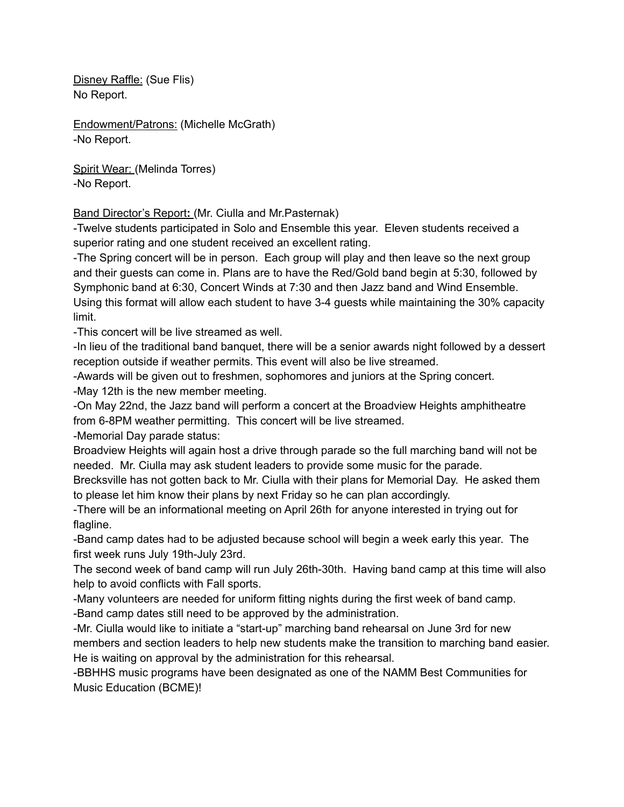Disney Raffle: (Sue Flis) No Report.

Endowment/Patrons: (Michelle McGrath) -No Report.

Spirit Wear: (Melinda Torres) -No Report.

Band Director's Report**:** (Mr. Ciulla and Mr.Pasternak)

-Twelve students participated in Solo and Ensemble this year. Eleven students received a superior rating and one student received an excellent rating.

-The Spring concert will be in person. Each group will play and then leave so the next group and their guests can come in. Plans are to have the Red/Gold band begin at 5:30, followed by Symphonic band at 6:30, Concert Winds at 7:30 and then Jazz band and Wind Ensemble. Using this format will allow each student to have 3-4 guests while maintaining the 30% capacity limit.

-This concert will be live streamed as well.

-In lieu of the traditional band banquet, there will be a senior awards night followed by a dessert reception outside if weather permits. This event will also be live streamed.

-Awards will be given out to freshmen, sophomores and juniors at the Spring concert. -May 12th is the new member meeting.

-On May 22nd, the Jazz band will perform a concert at the Broadview Heights amphitheatre from 6-8PM weather permitting. This concert will be live streamed.

-Memorial Day parade status:

Broadview Heights will again host a drive through parade so the full marching band will not be needed. Mr. Ciulla may ask student leaders to provide some music for the parade.

Brecksville has not gotten back to Mr. Ciulla with their plans for Memorial Day. He asked them to please let him know their plans by next Friday so he can plan accordingly.

-There will be an informational meeting on April 26th for anyone interested in trying out for flagline.

-Band camp dates had to be adjusted because school will begin a week early this year. The first week runs July 19th-July 23rd.

The second week of band camp will run July 26th-30th. Having band camp at this time will also help to avoid conflicts with Fall sports.

-Many volunteers are needed for uniform fitting nights during the first week of band camp. -Band camp dates still need to be approved by the administration.

-Mr. Ciulla would like to initiate a "start-up" marching band rehearsal on June 3rd for new members and section leaders to help new students make the transition to marching band easier. He is waiting on approval by the administration for this rehearsal.

-BBHHS music programs have been designated as one of the NAMM Best Communities for Music Education (BCME)!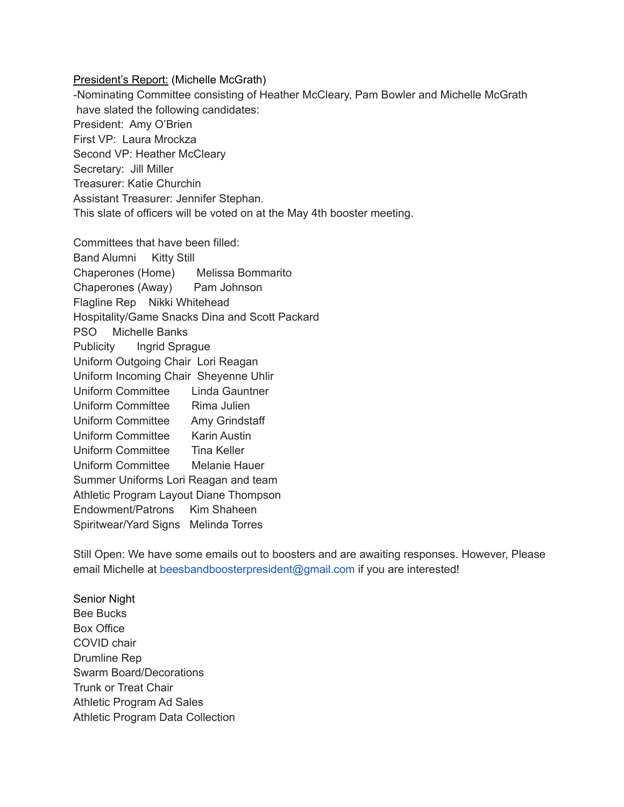President's Report: (Michelle McGrath) -Nominating Committee consisting of Heather McCleary, Pam Bowler and Michelle McGrath have slated the following candidates: President: Amy O'Brien First VP: Laura Mrockza Second VP: Heather McCleary Secretary: Jill Miller Treasurer: Katie Churchin Assistant Treasurer: Jennifer Stephan. This slate of officers will be voted on at the May 4th booster meeting.

Committees that have been filled: Band Alumni Kitty Still Chaperones (Home) Melissa Bommarito Chaperones (Away) Pam Johnson Flagline Rep Nikki Whitehead Hospitality/Game Snacks Dina and Scott Packard PSO Michelle Banks Publicity Ingrid Sprague Uniform Outgoing Chair Lori Reagan Uniform Incoming Chair Sheyenne Uhlir Uniform Committee Linda Gauntner Uniform Committee Rima Julien Uniform Committee Amy Grindstaff Uniform Committee Karin Austin Uniform Committee Tina Keller Uniform Committee Melanie Hauer Summer Uniforms Lori Reagan and team Athletic Program Layout Diane Thompson Endowment/Patrons Kim Shaheen Spiritwear/Yard Signs Melinda Torres

Still Open: We have some emails out to boosters and are awaiting responses. However, Please email Michelle at beesbandboosterpresident@gmail.com if you are interested!

Senior Night Bee Bucks Box Office COVID chair Drumline Rep Swarm Board/Decorations Trunk or Treat Chair Athletic Program Ad Sales Athletic Program Data Collection